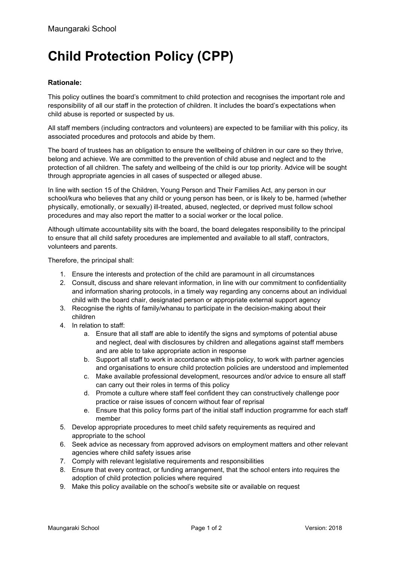## **Child Protection Policy (CPP)**

## **Rationale:**

This policy outlines the board's commitment to child protection and recognises the important role and responsibility of all our staff in the protection of children. It includes the board's expectations when child abuse is reported or suspected by us.

All staff members (including contractors and volunteers) are expected to be familiar with this policy, its associated procedures and protocols and abide by them.

The board of trustees has an obligation to ensure the wellbeing of children in our care so they thrive, belong and achieve. We are committed to the prevention of child abuse and neglect and to the protection of all children. The safety and wellbeing of the child is our top priority. Advice will be sought through appropriate agencies in all cases of suspected or alleged abuse.

In line with section 15 of the Children, Young Person and Their Families Act, any person in our school/kura who believes that any child or young person has been, or is likely to be, harmed (whether physically, emotionally, or sexually) ill-treated, abused, neglected, or deprived must follow school procedures and may also report the matter to a social worker or the local police.

Although ultimate accountability sits with the board, the board delegates responsibility to the principal to ensure that all child safety procedures are implemented and available to all staff, contractors, volunteers and parents.

Therefore, the principal shall:

- 1. Ensure the interests and protection of the child are paramount in all circumstances
- 2. Consult, discuss and share relevant information, in line with our commitment to confidentiality and information sharing protocols, in a timely way regarding any concerns about an individual child with the board chair, designated person or appropriate external support agency
- 3. Recognise the rights of family/whanau to participate in the decision-making about their children
- 4. In relation to staff:
	- a. Ensure that all staff are able to identify the signs and symptoms of potential abuse and neglect, deal with disclosures by children and allegations against staff members and are able to take appropriate action in response
	- b. Support all staff to work in accordance with this policy, to work with partner agencies and organisations to ensure child protection policies are understood and implemented
	- c. Make available professional development, resources and/or advice to ensure all staff can carry out their roles in terms of this policy
	- d. Promote a culture where staff feel confident they can constructively challenge poor practice or raise issues of concern without fear of reprisal
	- e. Ensure that this policy forms part of the initial staff induction programme for each staff member
- 5. Develop appropriate procedures to meet child safety requirements as required and appropriate to the school
- 6. Seek advice as necessary from approved advisors on employment matters and other relevant agencies where child safety issues arise
- 7. Comply with relevant legislative requirements and responsibilities
- 8. Ensure that every contract, or funding arrangement, that the school enters into requires the adoption of child protection policies where required
- 9. Make this policy available on the school's website site or available on request